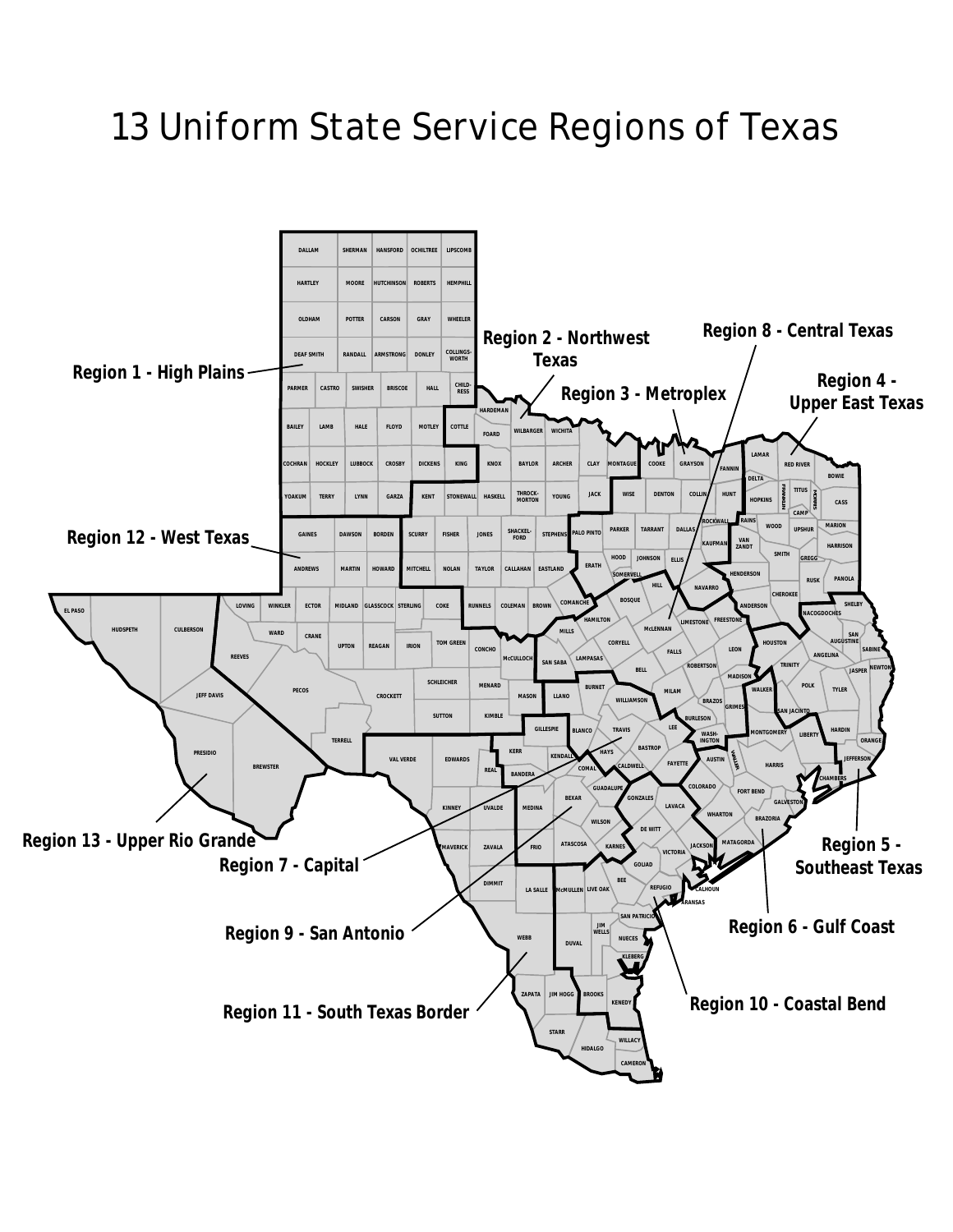## 13 Uniform State Service Regions of Texas

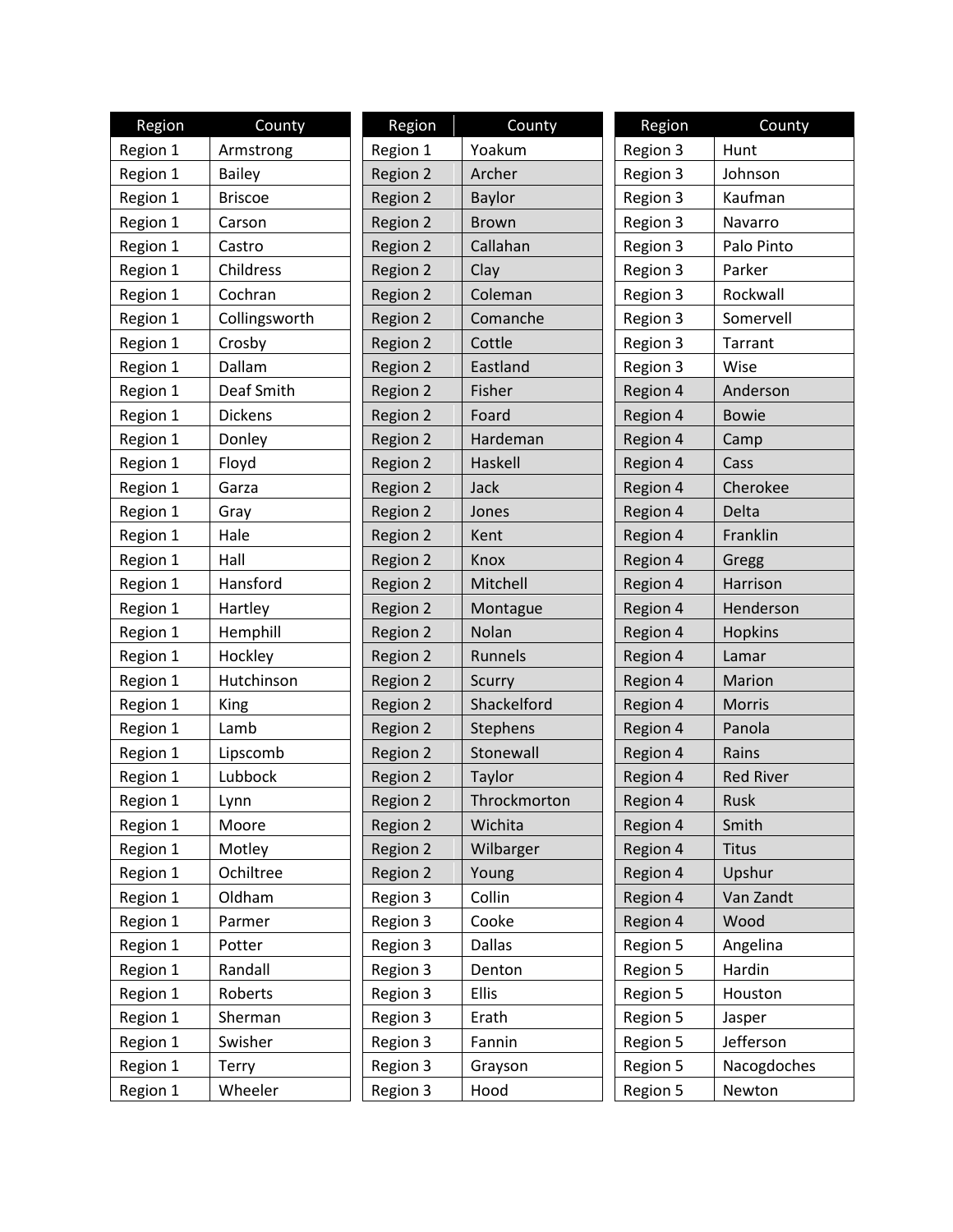| Region   | County         | Region   | County        | Region   | County           |
|----------|----------------|----------|---------------|----------|------------------|
| Region 1 | Armstrong      | Region 1 | Yoakum        | Region 3 | Hunt             |
| Region 1 | <b>Bailey</b>  | Region 2 | Archer        | Region 3 | Johnson          |
| Region 1 | <b>Briscoe</b> | Region 2 | Baylor        | Region 3 | Kaufman          |
| Region 1 | Carson         | Region 2 | <b>Brown</b>  | Region 3 | Navarro          |
| Region 1 | Castro         | Region 2 | Callahan      | Region 3 | Palo Pinto       |
| Region 1 | Childress      | Region 2 | Clay          | Region 3 | Parker           |
| Region 1 | Cochran        | Region 2 | Coleman       | Region 3 | Rockwall         |
| Region 1 | Collingsworth  | Region 2 | Comanche      | Region 3 | Somervell        |
| Region 1 | Crosby         | Region 2 | Cottle        | Region 3 | Tarrant          |
| Region 1 | Dallam         | Region 2 | Eastland      | Region 3 | Wise             |
| Region 1 | Deaf Smith     | Region 2 | Fisher        | Region 4 | Anderson         |
| Region 1 | <b>Dickens</b> | Region 2 | Foard         | Region 4 | <b>Bowie</b>     |
| Region 1 | Donley         | Region 2 | Hardeman      | Region 4 | Camp             |
| Region 1 | Floyd          | Region 2 | Haskell       | Region 4 | Cass             |
| Region 1 | Garza          | Region 2 | Jack          | Region 4 | Cherokee         |
| Region 1 | Gray           | Region 2 | Jones         | Region 4 | Delta            |
| Region 1 | Hale           | Region 2 | Kent          | Region 4 | Franklin         |
| Region 1 | Hall           | Region 2 | Knox          | Region 4 | Gregg            |
| Region 1 | Hansford       | Region 2 | Mitchell      | Region 4 | Harrison         |
| Region 1 | Hartley        | Region 2 | Montague      | Region 4 | Henderson        |
| Region 1 | Hemphill       | Region 2 | Nolan         | Region 4 | <b>Hopkins</b>   |
| Region 1 | Hockley        | Region 2 | Runnels       | Region 4 | Lamar            |
| Region 1 | Hutchinson     | Region 2 | Scurry        | Region 4 | Marion           |
| Region 1 | <b>King</b>    | Region 2 | Shackelford   | Region 4 | Morris           |
| Region 1 | Lamb           | Region 2 | Stephens      | Region 4 | Panola           |
| Region 1 | Lipscomb       | Region 2 | Stonewall     | Region 4 | Rains            |
| Region 1 | Lubbock        | Region 2 | <b>Taylor</b> | Region 4 | <b>Red River</b> |
| Region 1 | Lynn           | Region 2 | Throckmorton  | Region 4 | Rusk             |
| Region 1 | Moore          | Region 2 | Wichita       | Region 4 | Smith            |
| Region 1 | Motley         | Region 2 | Wilbarger     | Region 4 | <b>Titus</b>     |
| Region 1 | Ochiltree      | Region 2 | Young         | Region 4 | Upshur           |
| Region 1 | Oldham         | Region 3 | Collin        | Region 4 | Van Zandt        |
| Region 1 | Parmer         | Region 3 | Cooke         | Region 4 | Wood             |
| Region 1 | Potter         | Region 3 | Dallas        | Region 5 | Angelina         |
| Region 1 | Randall        | Region 3 | Denton        | Region 5 | Hardin           |
| Region 1 | Roberts        | Region 3 | Ellis         | Region 5 | Houston          |
| Region 1 | Sherman        | Region 3 | Erath         | Region 5 | Jasper           |
| Region 1 | Swisher        | Region 3 | Fannin        | Region 5 | Jefferson        |
| Region 1 | <b>Terry</b>   | Region 3 | Grayson       | Region 5 | Nacogdoches      |
| Region 1 | Wheeler        | Region 3 | Hood          | Region 5 | Newton           |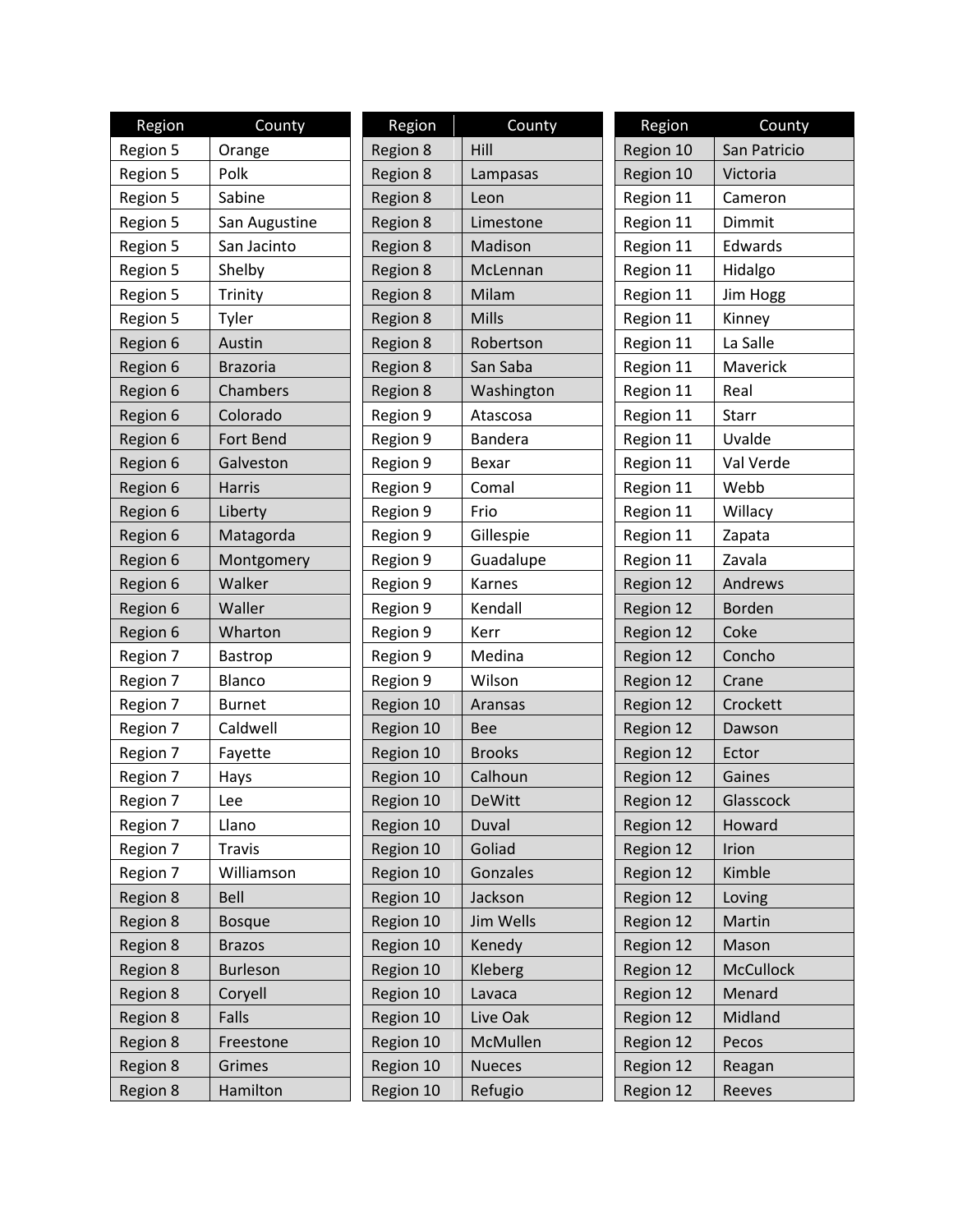| Region   | County          | Region    | County        | Region    | County        |
|----------|-----------------|-----------|---------------|-----------|---------------|
| Region 5 | Orange          | Region 8  | Hill          | Region 10 | San Patricio  |
| Region 5 | Polk            | Region 8  | Lampasas      | Region 10 | Victoria      |
| Region 5 | Sabine          | Region 8  | Leon          | Region 11 | Cameron       |
| Region 5 | San Augustine   | Region 8  | Limestone     | Region 11 | Dimmit        |
| Region 5 | San Jacinto     | Region 8  | Madison       | Region 11 | Edwards       |
| Region 5 | Shelby          | Region 8  | McLennan      | Region 11 | Hidalgo       |
| Region 5 | Trinity         | Region 8  | Milam         | Region 11 | Jim Hogg      |
| Region 5 | Tyler           | Region 8  | <b>Mills</b>  | Region 11 | Kinney        |
| Region 6 | Austin          | Region 8  | Robertson     | Region 11 | La Salle      |
| Region 6 | <b>Brazoria</b> | Region 8  | San Saba      | Region 11 | Maverick      |
| Region 6 | Chambers        | Region 8  | Washington    | Region 11 | Real          |
| Region 6 | Colorado        | Region 9  | Atascosa      | Region 11 | Starr         |
| Region 6 | Fort Bend       | Region 9  | Bandera       | Region 11 | Uvalde        |
| Region 6 | Galveston       | Region 9  | Bexar         | Region 11 | Val Verde     |
| Region 6 | Harris          | Region 9  | Comal         | Region 11 | Webb          |
| Region 6 | Liberty         | Region 9  | Frio          | Region 11 | Willacy       |
| Region 6 | Matagorda       | Region 9  | Gillespie     | Region 11 | Zapata        |
| Region 6 | Montgomery      | Region 9  | Guadalupe     | Region 11 | Zavala        |
| Region 6 | Walker          | Region 9  | Karnes        | Region 12 | Andrews       |
| Region 6 | Waller          | Region 9  | Kendall       | Region 12 | <b>Borden</b> |
| Region 6 | Wharton         | Region 9  | Kerr          | Region 12 | Coke          |
| Region 7 | Bastrop         | Region 9  | Medina        | Region 12 | Concho        |
| Region 7 | Blanco          | Region 9  | Wilson        | Region 12 | Crane         |
| Region 7 | <b>Burnet</b>   | Region 10 | Aransas       | Region 12 | Crockett      |
| Region 7 | Caldwell        | Region 10 | <b>Bee</b>    | Region 12 | Dawson        |
| Region 7 | Fayette         | Region 10 | <b>Brooks</b> | Region 12 | Ector         |
| Region 7 | Hays            | Region 10 | Calhoun       | Region 12 | Gaines        |
| Region 7 | Lee             | Region 10 | <b>DeWitt</b> | Region 12 | Glasscock     |
| Region 7 | Llano           | Region 10 | Duval         | Region 12 | Howard        |
| Region 7 | <b>Travis</b>   | Region 10 | Goliad        | Region 12 | Irion         |
| Region 7 | Williamson      | Region 10 | Gonzales      | Region 12 | Kimble        |
| Region 8 | Bell            | Region 10 | Jackson       | Region 12 | Loving        |
| Region 8 | <b>Bosque</b>   | Region 10 | Jim Wells     | Region 12 | Martin        |
| Region 8 | <b>Brazos</b>   | Region 10 | Kenedy        | Region 12 | Mason         |
| Region 8 | <b>Burleson</b> | Region 10 | Kleberg       | Region 12 | McCullock     |
| Region 8 | Coryell         | Region 10 | Lavaca        | Region 12 | Menard        |
| Region 8 | Falls           | Region 10 | Live Oak      | Region 12 | Midland       |
| Region 8 | Freestone       | Region 10 | McMullen      | Region 12 | Pecos         |
| Region 8 | Grimes          | Region 10 | <b>Nueces</b> | Region 12 | Reagan        |
| Region 8 | Hamilton        | Region 10 | Refugio       | Region 12 | Reeves        |